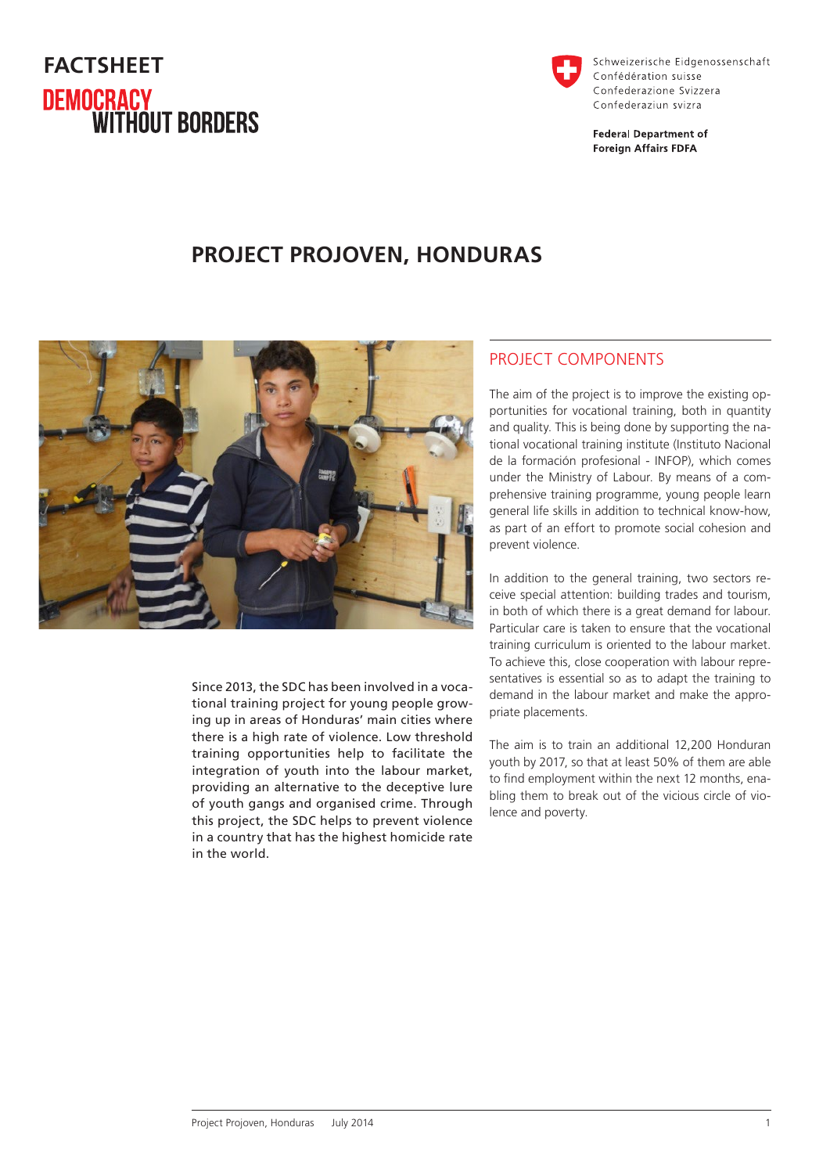# **FACTSHEET DEMOCRACY<br>WITHOUT BORDERS**



Schweizerische Eidgenossenschaft Confédération suisse Confederazione Svizzera Confederaziun svizra

**Federal Department of Foreign Affairs FDFA** 

## **PROJECT PROJOVEN, HONDURAS**



Since 2013, the SDC has been involved in a vocational training project for young people growing up in areas of Honduras' main cities where there is a high rate of violence. Low threshold training opportunities help to facilitate the integration of youth into the labour market, providing an alternative to the deceptive lure of youth gangs and organised crime. Through this project, the SDC helps to prevent violence in a country that has the highest homicide rate in the world.

### PROJECT COMPONENTS

The aim of the project is to improve the existing opportunities for vocational training, both in quantity and quality. This is being done by supporting the national vocational training institute (Instituto Nacional de la formación profesional - INFOP), which comes under the Ministry of Labour. By means of a comprehensive training programme, young people learn general life skills in addition to technical know-how, as part of an effort to promote social cohesion and prevent violence.

In addition to the general training, two sectors receive special attention: building trades and tourism, in both of which there is a great demand for labour. Particular care is taken to ensure that the vocational training curriculum is oriented to the labour market. To achieve this, close cooperation with labour representatives is essential so as to adapt the training to demand in the labour market and make the appropriate placements.

The aim is to train an additional 12,200 Honduran youth by 2017, so that at least 50% of them are able to find employment within the next 12 months, enabling them to break out of the vicious circle of violence and poverty.